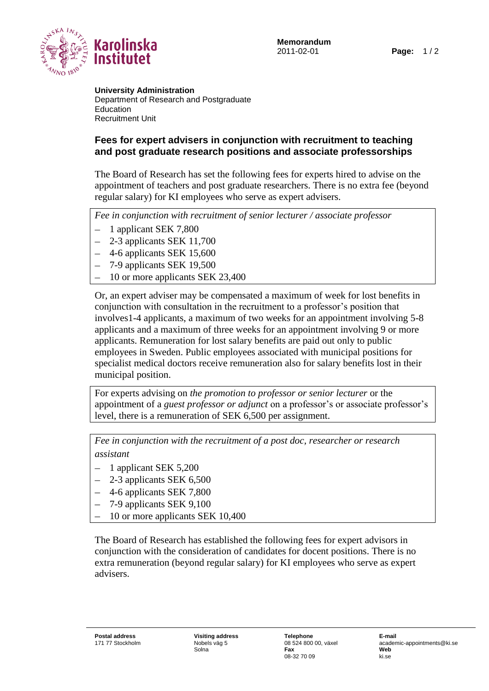

**University Administration** Department of Research and Postgraduate Education Recruitment Unit

## **Fees for expert advisers in conjunction with recruitment to teaching and post graduate research positions and associate professorships**

The Board of Research has set the following fees for experts hired to advise on the appointment of teachers and post graduate researchers. There is no extra fee (beyond regular salary) for KI employees who serve as expert advisers.

*Fee in conjunction with recruitment of senior lecturer / associate professor*

- 1 applicant SEK 7,800
- 2-3 applicants SEK 11,700
- 4-6 applicants SEK 15,600
- 7-9 applicants SEK 19,500
- 10 or more applicants SEK 23,400

Or, an expert adviser may be compensated a maximum of week for lost benefits in conjunction with consultation in the recruitment to a professor's position that involves1-4 applicants, a maximum of two weeks for an appointment involving 5-8 applicants and a maximum of three weeks for an appointment involving 9 or more applicants. Remuneration for lost salary benefits are paid out only to public employees in Sweden. Public employees associated with municipal positions for specialist medical doctors receive remuneration also for salary benefits lost in their municipal position.

For experts advising on *the promotion to professor or senior lecturer* or the appointment of a *guest professor or adjunct* on a professor's or associate professor's level, there is a remuneration of SEK 6,500 per assignment.

*Fee in conjunction with the recruitment of a post doc, researcher or research assistant*

- 1 applicant SEK 5,200
- 2-3 applicants SEK 6,500
- 4-6 applicants SEK 7,800
- 7-9 applicants SEK 9,100
- 10 or more applicants SEK 10,400

The Board of Research has established the following fees for expert advisors in conjunction with the consideration of candidates for docent positions. There is no extra remuneration (beyond regular salary) for KI employees who serve as expert advisers.